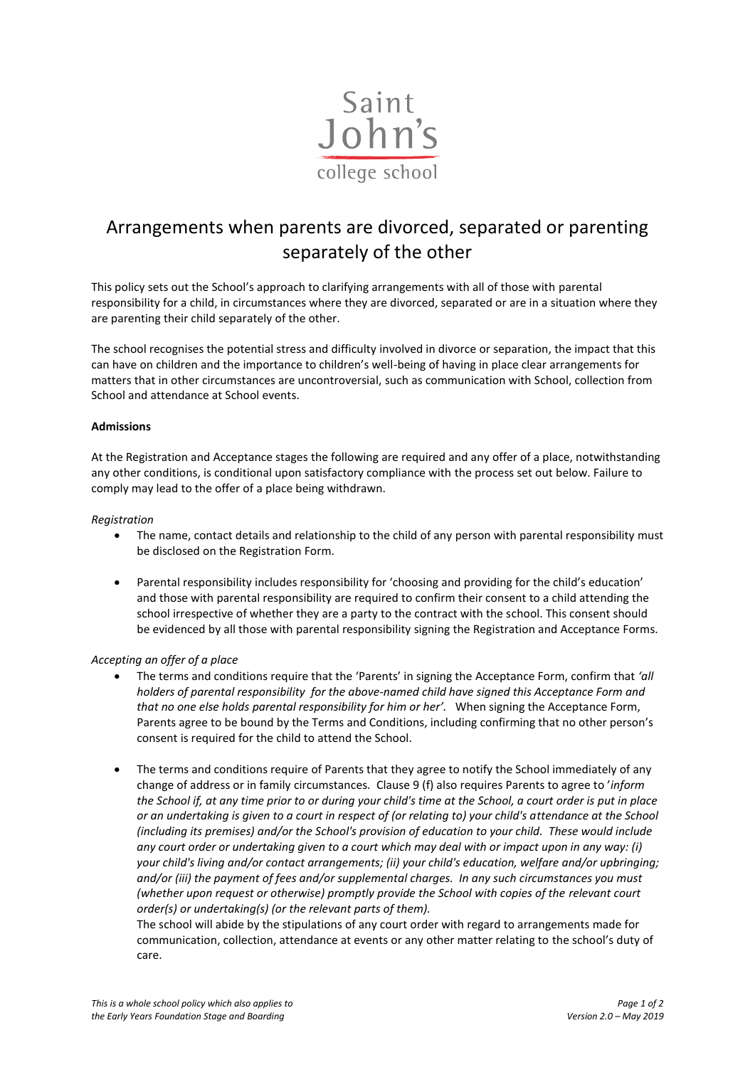

# Arrangements when parents are divorced, separated or parenting separately of the other

This policy sets out the School's approach to clarifying arrangements with all of those with parental responsibility for a child, in circumstances where they are divorced, separated or are in a situation where they are parenting their child separately of the other.

The school recognises the potential stress and difficulty involved in divorce or separation, the impact that this can have on children and the importance to children's well-being of having in place clear arrangements for matters that in other circumstances are uncontroversial, such as communication with School, collection from School and attendance at School events.

# **Admissions**

At the Registration and Acceptance stages the following are required and any offer of a place, notwithstanding any other conditions, is conditional upon satisfactory compliance with the process set out below. Failure to comply may lead to the offer of a place being withdrawn.

### *Registration*

- The name, contact details and relationship to the child of any person with parental responsibility must be disclosed on the Registration Form.
- Parental responsibility includes responsibility for 'choosing and providing for the child's education' and those with parental responsibility are required to confirm their consent to a child attending the school irrespective of whether they are a party to the contract with the school. This consent should be evidenced by all those with parental responsibility signing the Registration and Acceptance Forms.

# *Accepting an offer of a place*

- The terms and conditions require that the 'Parents' in signing the Acceptance Form, confirm that *'all holders of parental responsibility for the above-named child have signed this Acceptance Form and that no one else holds parental responsibility for him or her'.* When signing the Acceptance Form, Parents agree to be bound by the Terms and Conditions, including confirming that no other person's consent is required for the child to attend the School.
- The terms and conditions require of Parents that they agree to notify the School immediately of any change of address or in family circumstances.Clause 9 (f) also requires Parents to agree to '*inform the School if, at any time prior to or during your child's time at the School, a court order is put in place or an undertaking is given to a court in respect of (or relating to) your child's attendance at the School (including its premises) and/or the School's provision of education to your child. These would include any court order or undertaking given to a court which may deal with or impact upon in any way: (i) your child's living and/or contact arrangements; (ii) your child's education, welfare and/or upbringing; and/or (iii) the payment of fees and/or supplemental charges. In any such circumstances you must (whether upon request or otherwise) promptly provide the School with copies of the relevant court order(s) or undertaking(s) (or the relevant parts of them).*

The school will abide by the stipulations of any court order with regard to arrangements made for communication, collection, attendance at events or any other matter relating to the school's duty of care.